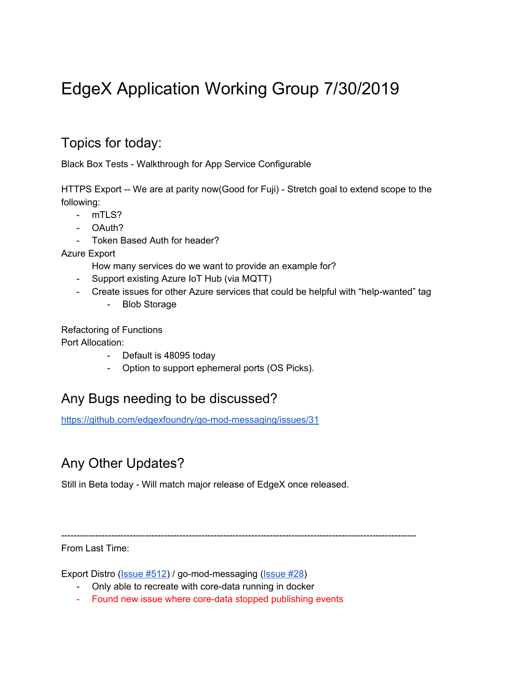# EdgeX Application Working Group 7/30/2019

## Topics for today:

Black Box Tests - Walkthrough for App Service Configurable

HTTPS Export -- We are at parity now(Good for Fuji) - Stretch goal to extend scope to the following:

- mTLS?
- OAuth?
- Token Based Auth for header?

Azure Export

- How many services do we want to provide an example for?
- Support existing Azure IoT Hub (via MQTT)
- Create issues for other Azure services that could be helpful with "help-wanted" tag
	- Blob Storage

Refactoring of Functions Port Allocation:

- Default is 48095 today

- Option to support ephemeral ports (OS Picks).

# Any Bugs needing to be discussed?

<https://github.com/edgexfoundry/go-mod-messaging/issues/31>

# Any Other Updates?

Still in Beta today - Will match major release of EdgeX once released.

------------------------------------------------------------------------------------------------------------------

From Last Time:

Export Distro (*[Issue](https://github.com/edgexfoundry/go-mod-messaging/issues/28) #512*) / go-mod-messaging (*Issue #28*)

- Only able to recreate with core-data running in docker
- Found new issue where core-data stopped publishing events